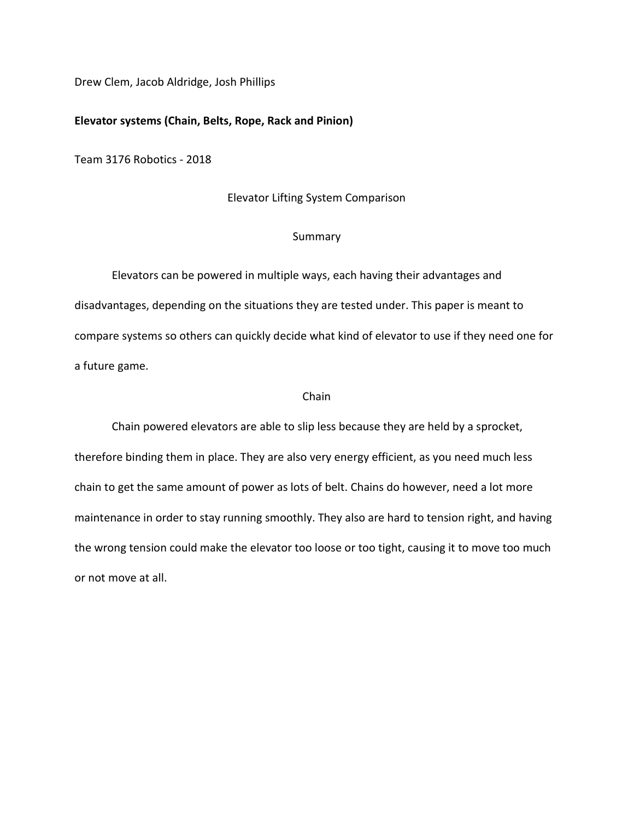Drew Clem, Jacob Aldridge, Josh Phillips

## Elevator systems (Chain, Belts, Rope, Rack and Pinion)

Team 3176 Robotics - 2018

### Elevator Lifting System Comparison

### Summary

 Elevators can be powered in multiple ways, each having their advantages and disadvantages, depending on the situations they are tested under. This paper is meant to compare systems so others can quickly decide what kind of elevator to use if they need one for a future game.

# Chain

 Chain powered elevators are able to slip less because they are held by a sprocket, therefore binding them in place. They are also very energy efficient, as you need much less chain to get the same amount of power as lots of belt. Chains do however, need a lot more maintenance in order to stay running smoothly. They also are hard to tension right, and having the wrong tension could make the elevator too loose or too tight, causing it to move too much or not move at all.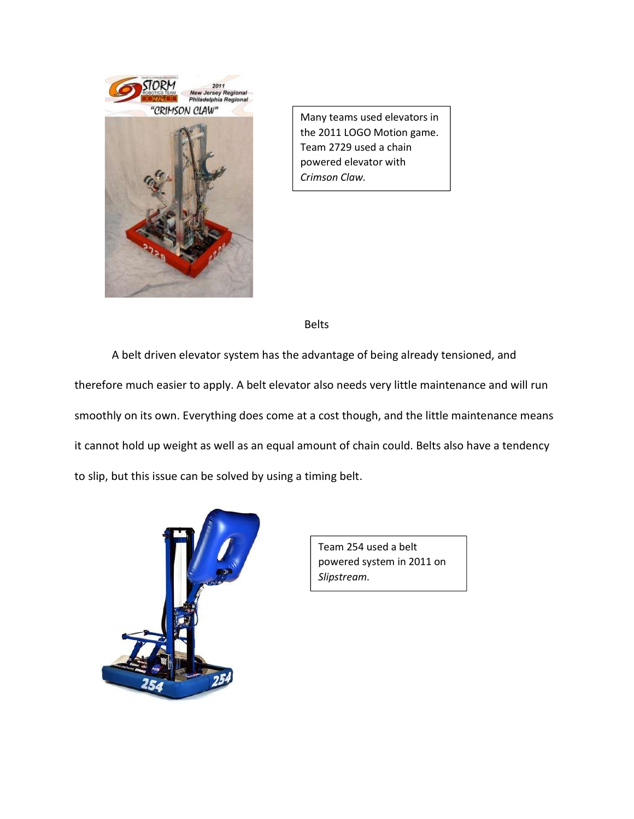

Many teams used elevators in the 2011 LOGO Motion game. Team 2729 used a chain powered elevator with Crimson Claw.

Belts

 A belt driven elevator system has the advantage of being already tensioned, and therefore much easier to apply. A belt elevator also needs very little maintenance and will run smoothly on its own. Everything does come at a cost though, and the little maintenance means it cannot hold up weight as well as an equal amount of chain could. Belts also have a tendency to slip, but this issue can be solved by using a timing belt.



Team 254 used a belt powered system in 2011 on Slipstream.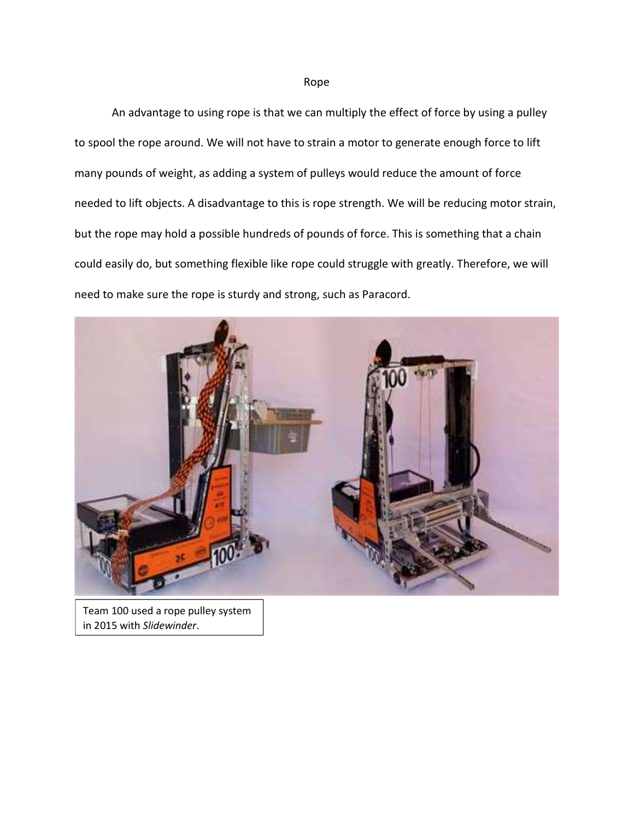### Rope

 An advantage to using rope is that we can multiply the effect of force by using a pulley to spool the rope around. We will not have to strain a motor to generate enough force to lift many pounds of weight, as adding a system of pulleys would reduce the amount of force needed to lift objects. A disadvantage to this is rope strength. We will be reducing motor strain, but the rope may hold a possible hundreds of pounds of force. This is something that a chain could easily do, but something flexible like rope could struggle with greatly. Therefore, we will need to make sure the rope is sturdy and strong, such as Paracord.



Team 100 used a rope pulley system in 2015 with Slidewinder.